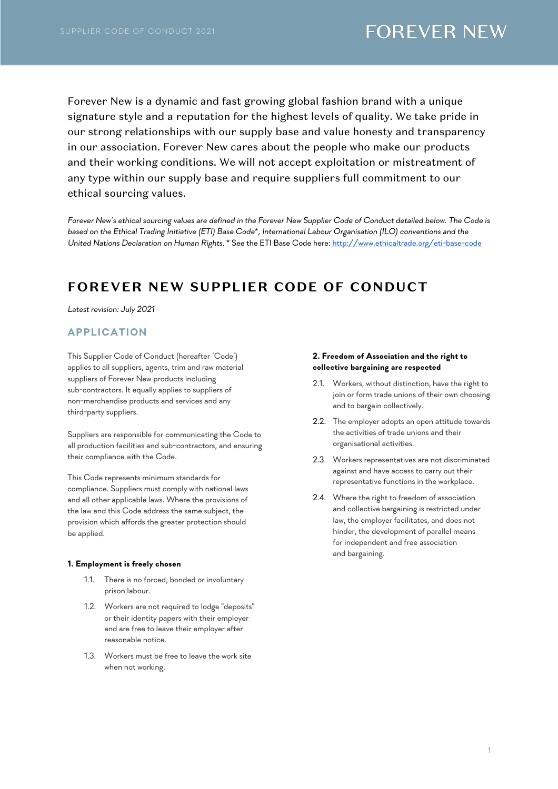Forever New is a dynamic and fast growing global fashion brand with a unique signature style and a reputation for the highest levels of quality. We take pride in our strong relationships with our supply base and value honesty and transparency in our association. Forever New cares about the people who make our products and their working conditions. We will not accept exploitation or mistreatment of any type within our supply base and require suppliers full commitment to our ethical sourcing values.

*Forever New's ethical sourcing values are defined in the Forever New Supplier Code of Conduct detailed below. The Code is based on the Ethical Trading Initiative (ETI) Base Code*\**, International Labour Organisation (ILO) conventions and the United Nations Declaration on Human Rights*. \* See the ETI Base Code here: http://www.ethicaltrade.org/eti-base-code

# **FOREVER NEW SUPPLIER CODE OF CONDUCT**

*Latest revision: July 2021*

## **APPLICATION**

This Supplier Code of Conduct (hereafter 'Code') applies to all suppliers, agents, trim and raw material suppliers of Forever New products including sub-contractors. It equally applies to suppliers of non-merchandise products and services and any third-party suppliers.

Suppliers are responsible for communicating the Code to all production facilities and sub-contractors, and ensuring their compliance with the Code.

This Code represents minimum standards for compliance. Suppliers must comply with national laws and all other applicable laws. Where the provisions of the law and this Code address the same subject, the provision which affords the greater protection should be applied.

#### **1. Employment is freely chosen**

- 1.1. There is no forced, bonded or involuntary prison labour.
- 1.2. Workers are not required to lodge "deposits" or their identity papers with their employer and are free to leave their employer after reasonable notice.
- 1.3. Workers must be free to leave the work site when not working.

#### **2. Freedom of Association and the right to collective bargaining are respected**

- 2.1. Workers, without distinction, have the right to join or form trade unions of their own choosing and to bargain collectively.
- 2.2. The employer adopts an open attitude towards the activities of trade unions and their organisational activities.
- 2.3. Workers representatives are not discriminated against and have access to carry out their representative functions in the workplace.
- 2.4. Where the right to freedom of association and collective bargaining is restricted under law, the employer facilitates, and does not hinder, the development of parallel means for independent and free association and bargaining.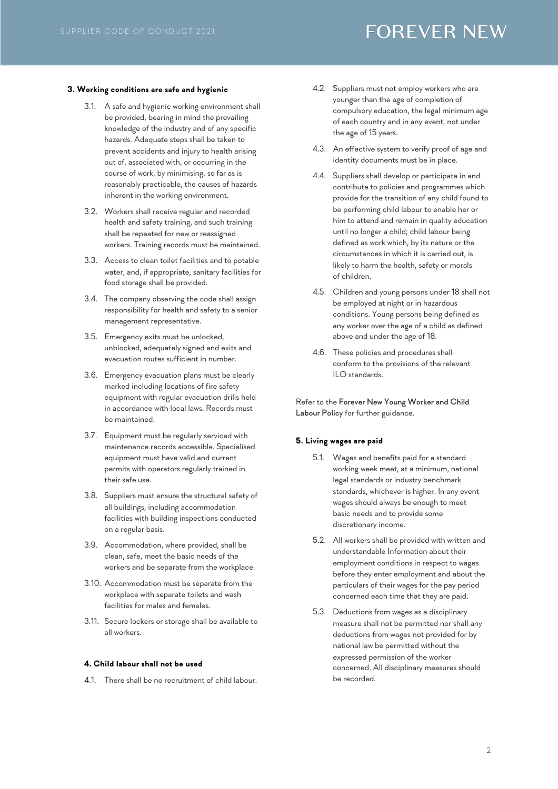#### **3. Working conditions are safe and hygienic**

- 3.1. A safe and hygienic working environment shall be provided, bearing in mind the prevailing knowledge of the industry and of any specific hazards. Adequate steps shall be taken to prevent accidents and injury to health arising out of, associated with, or occurring in the course of work, by minimising, so far as is reasonably practicable, the causes of hazards inherent in the working environment.
- 3.2. Workers shall receive regular and recorded health and safety training, and such training shall be repeated for new or reassigned workers. Training records must be maintained.
- 3.3. Access to clean toilet facilities and to potable water, and, if appropriate, sanitary facilities for food storage shall be provided.
- 3.4. The company observing the code shall assign responsibility for health and safety to a senior management representative.
- 3.5. Emergency exits must be unlocked, unblocked, adequately signed and exits and evacuation routes sufficient in number.
- 3.6. Emergency evacuation plans must be clearly marked including locations of fire safety equipment with regular evacuation drills held in accordance with local laws. Records must be maintained.
- 3.7. Equipment must be regularly serviced with maintenance records accessible. Specialised equipment must have valid and current permits with operators regularly trained in their safe use.
- 3.8. Suppliers must ensure the structural safety of all buildings, including accommodation facilities with building inspections conducted on a regular basis.
- 3.9. Accommodation, where provided, shall be clean, safe, meet the basic needs of the workers and be separate from the workplace.
- 3.10. Accommodation must be separate from the workplace with separate toilets and wash facilities for males and females.
- 3.11. Secure lockers or storage shall be available to all workers.

### **4. Child labour shall not be used**

4.1. There shall be no recruitment of child labour.

- 4.2. Suppliers must not employ workers who are younger than the age of completion of compulsory education, the legal minimum age of each country and in any event, not under the age of 15 years.
- 4.3. An effective system to verify proof of age and identity documents must be in place.
- 4.4. Suppliers shall develop or participate in and contribute to policies and programmes which provide for the transition of any child found to be performing child labour to enable her or him to attend and remain in quality education until no longer a child; child labour being defined as work which, by its nature or the circumstances in which it is carried out, is likely to harm the health, safety or morals of children.
- 4.5. Children and young persons under 18 shall not be employed at night or in hazardous conditions. Young persons being defined as any worker over the age of a child as defined above and under the age of 18.
- 4.6. These policies and procedures shall conform to the provisions of the relevant ILO standards.

Refer to the Forever New Young Worker and Child Labour Policy for further guidance.

#### **5. Living wages are paid**

- 5.1. Wages and benefits paid for a standard working week meet, at a minimum, national legal standards or industry benchmark standards, whichever is higher. In any event wages should always be enough to meet basic needs and to provide some discretionary income.
- 5.2. All workers shall be provided with written and understandable Information about their employment conditions in respect to wages before they enter employment and about the particulars of their wages for the pay period concerned each time that they are paid.
- 5.3. Deductions from wages as a disciplinary measure shall not be permitted nor shall any deductions from wages not provided for by national law be permitted without the expressed permission of the worker concerned. All disciplinary measures should be recorded.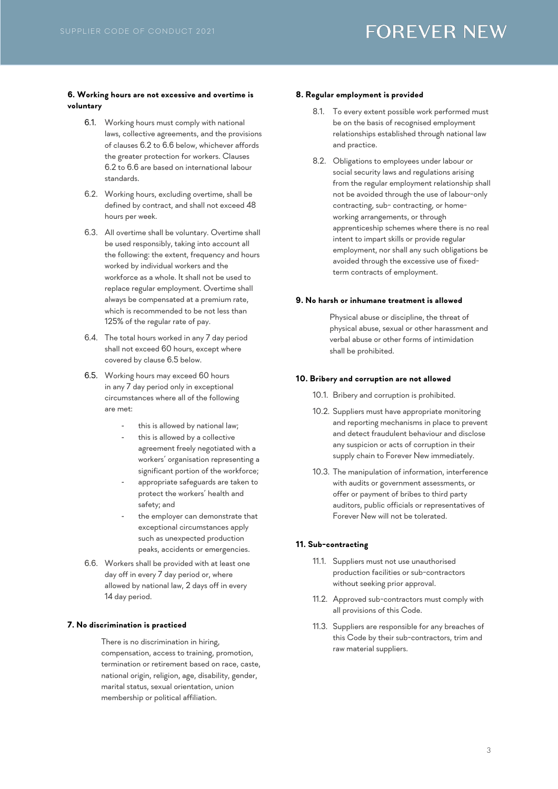### **6. Working hours are not excessive and overtime is voluntary**

- 6.1. Working hours must comply with national laws, collective agreements, and the provisions of clauses 6.2 to 6.6 below, whichever affords the greater protection for workers. Clauses 6.2 to 6.6 are based on international labour standards.
- 6.2. Working hours, excluding overtime, shall be defined by contract, and shall not exceed 48 hours per week.
- 6.3. All overtime shall be voluntary. Overtime shall be used responsibly, taking into account all the following: the extent, frequency and hours worked by individual workers and the workforce as a whole. It shall not be used to replace regular employment. Overtime shall always be compensated at a premium rate, which is recommended to be not less than 125% of the regular rate of pay.
- 6.4. The total hours worked in any 7 day period shall not exceed 60 hours, except where covered by clause 6.5 below.
- 6.5. Working hours may exceed 60 hours in any 7 day period only in exceptional circumstances where all of the following are met:
	- this is allowed by national law;
	- this is allowed by a collective agreement freely negotiated with a workers' organisation representing a significant portion of the workforce;
	- appropriate safeguards are taken to protect the workers' health and safety; and
	- the employer can demonstrate that exceptional circumstances apply such as unexpected production peaks, accidents or emergencies.
- 6.6. Workers shall be provided with at least one day off in every 7 day period or, where allowed by national law, 2 days off in every 14 day period.

### **7. No discrimination is practiced**

There is no discrimination in hiring, compensation, access to training, promotion, termination or retirement based on race, caste, national origin, religion, age, disability, gender, marital status, sexual orientation, union membership or political affiliation.

#### **8. Regular employment is provided**

- 8.1. To every extent possible work performed must be on the basis of recognised employment relationships established through national law and practice.
- 8.2. Obligations to employees under labour or social security laws and regulations arising from the regular employment relationship shall not be avoided through the use of labour-only contracting, sub- contracting, or homeworking arrangements, or through apprenticeship schemes where there is no real intent to impart skills or provide regular employment, nor shall any such obligations be avoided through the excessive use of fixedterm contracts of employment.

#### **9. No harsh or inhumane treatment is allowed**

Physical abuse or discipline, the threat of physical abuse, sexual or other harassment and verbal abuse or other forms of intimidation shall be prohibited.

#### **10. Bribery and corruption are not allowed**

- 10.1. Bribery and corruption is prohibited.
- 10.2. Suppliers must have appropriate monitoring and reporting mechanisms in place to prevent and detect fraudulent behaviour and disclose any suspicion or acts of corruption in their supply chain to Forever New immediately.
- 10.3. The manipulation of information, interference with audits or government assessments, or offer or payment of bribes to third party auditors, public officials or representatives of Forever New will not be tolerated.

### **11. Sub-contracting**

- 11.1. Suppliers must not use unauthorised production facilities or sub-contractors without seeking prior approval.
- 11.2. Approved sub-contractors must comply with all provisions of this Code.
- 11.3. Suppliers are responsible for any breaches of this Code by their sub-contractors, trim and raw material suppliers.